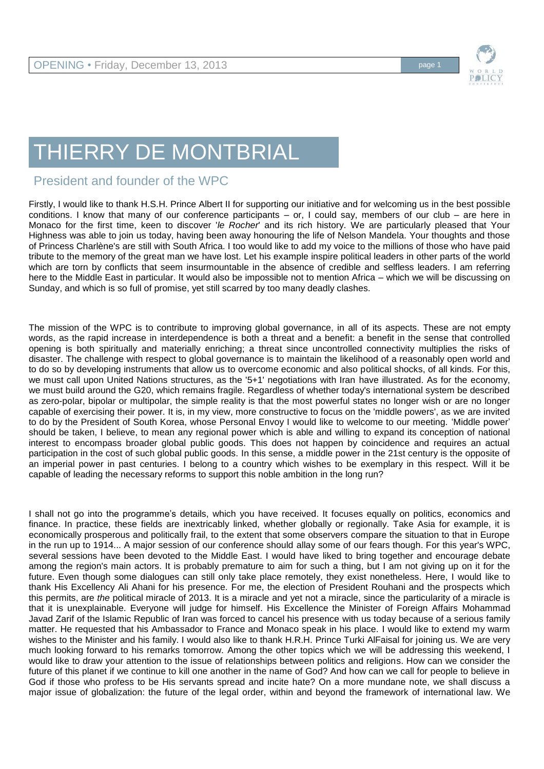

## THIERRY DE MONTBRIAL

## President and founder of the WPC

Firstly, I would like to thank H.S.H. Prince Albert II for supporting our initiative and for welcoming us in the best possible conditions. I know that many of our conference participants – or, I could say, members of our club – are here in Monaco for the first time, keen to discover '*le Rocher*' and its rich history. We are particularly pleased that Your Highness was able to join us today, having been away honouring the life of Nelson Mandela. Your thoughts and those of Princess Charlène's are still with South Africa. I too would like to add my voice to the millions of those who have paid tribute to the memory of the great man we have lost. Let his example inspire political leaders in other parts of the world which are torn by conflicts that seem insurmountable in the absence of credible and selfless leaders. I am referring here to the Middle East in particular. It would also be impossible not to mention Africa – which we will be discussing on Sunday, and which is so full of promise, yet still scarred by too many deadly clashes.

The mission of the WPC is to contribute to improving global governance, in all of its aspects. These are not empty words, as the rapid increase in interdependence is both a threat and a benefit: a benefit in the sense that controlled opening is both spiritually and materially enriching; a threat since uncontrolled connectivity multiplies the risks of disaster. The challenge with respect to global governance is to maintain the likelihood of a reasonably open world and to do so by developing instruments that allow us to overcome economic and also political shocks, of all kinds. For this, we must call upon United Nations structures, as the '5+1' negotiations with Iran have illustrated. As for the economy, we must build around the G20, which remains fragile. Regardless of whether today's international system be described as zero-polar, bipolar or multipolar, the simple reality is that the most powerful states no longer wish or are no longer capable of exercising their power. It is, in my view, more constructive to focus on the 'middle powers', as we are invited to do by the President of South Korea, whose Personal Envoy I would like to welcome to our meeting. 'Middle power' should be taken, I believe, to mean any regional power which is able and willing to expand its conception of national interest to encompass broader global public goods. This does not happen by coincidence and requires an actual participation in the cost of such global public goods. In this sense, a middle power in the 21st century is the opposite of an imperial power in past centuries. I belong to a country which wishes to be exemplary in this respect. Will it be capable of leading the necessary reforms to support this noble ambition in the long run?

I shall not go into the programme's details, which you have received. It focuses equally on politics, economics and finance. In practice, these fields are inextricably linked, whether globally or regionally. Take Asia for example, it is economically prosperous and politically frail, to the extent that some observers compare the situation to that in Europe in the run up to 1914... A major session of our conference should allay some of our fears though. For this year's WPC, several sessions have been devoted to the Middle East. I would have liked to bring together and encourage debate among the region's main actors. It is probably premature to aim for such a thing, but I am not giving up on it for the future. Even though some dialogues can still only take place remotely, they exist nonetheless. Here, I would like to thank His Excellency Ali Ahani for his presence. For me, the election of President Rouhani and the prospects which this permits, are *the* political miracle of 2013. It is a miracle and yet not a miracle, since the particularity of a miracle is that it is unexplainable. Everyone will judge for himself. His Excellence the Minister of Foreign Affairs Mohammad Javad Zarif of the Islamic Republic of Iran was forced to cancel his presence with us today because of a serious family matter. He requested that his Ambassador to France and Monaco speak in his place. I would like to extend my warm wishes to the Minister and his family. I would also like to thank H.R.H. Prince Turki AlFaisal for joining us. We are very much looking forward to his remarks tomorrow. Among the other topics which we will be addressing this weekend, I would like to draw your attention to the issue of relationships between politics and religions. How can we consider the future of this planet if we continue to kill one another in the name of God? And how can we call for people to believe in God if those who profess to be His servants spread and incite hate? On a more mundane note, we shall discuss a major issue of globalization: the future of the legal order, within and beyond the framework of international law. We